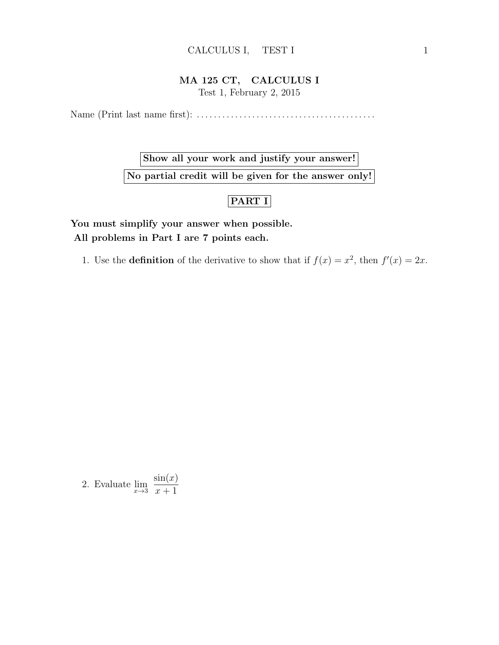#### CALCULUS I, TEST I 1

#### MA 125 CT, CALCULUS I

Test 1, February 2, 2015

Name (Print last name first): . . . . . . . . . . . . . . . . . . . . . . . . . . . . . . . . . . . . . . . . . .

Show all your work and justify your answer! No partial credit will be given for the answer only!

### PART I

You must simplify your answer when possible. All problems in Part I are 7 points each.

1. Use the **definition** of the derivative to show that if  $f(x) = x^2$ , then  $f'(x) = 2x$ .

2. Evaluate  $\lim_{x\to 3}$  $sin(x)$  $x + 1$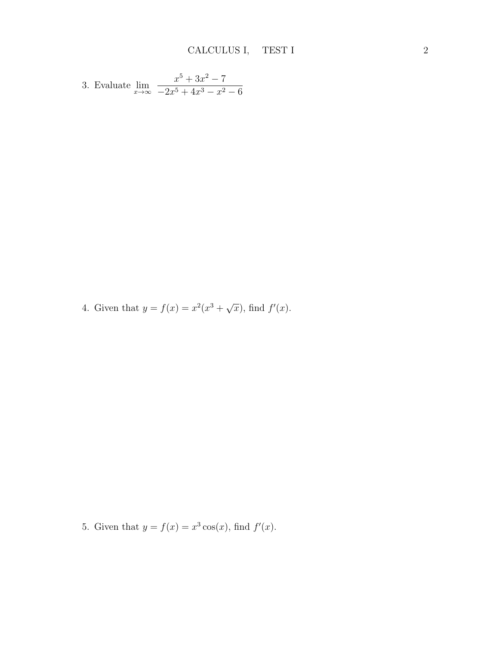3. Evaluate 
$$
\lim_{x \to \infty} \frac{x^5 + 3x^2 - 7}{-2x^5 + 4x^3 - x^2 - 6}
$$

4. Given that  $y = f(x) = x^2(x^3 + \sqrt{2})$  $\overline{x}$ , find  $f'(x)$ .

5. Given that  $y = f(x) = x^3 \cos(x)$ , find  $f'(x)$ .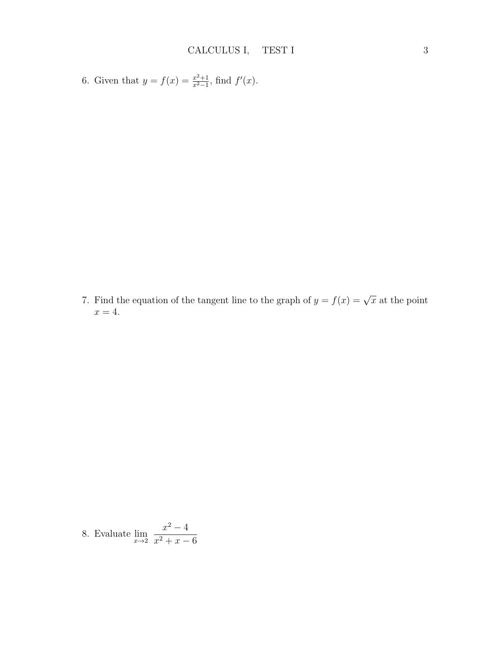6. Given that 
$$
y = f(x) = \frac{x^2+1}{x^2-1}
$$
, find  $f'(x)$ .

7. Find the equation of the tangent line to the graph of  $y = f(x) = \sqrt{x}$  at the point  $x = 4$ .

8. Evaluate 
$$
\lim_{x \to 2} \frac{x^2 - 4}{x^2 + x - 6}
$$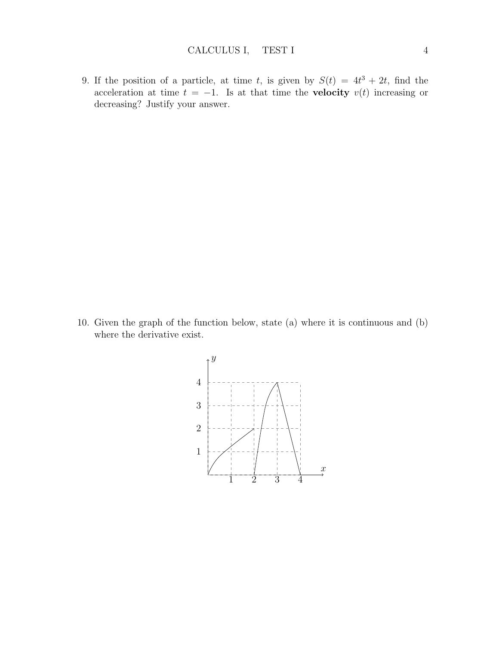9. If the position of a particle, at time t, is given by  $S(t) = 4t^3 + 2t$ , find the acceleration at time  $t = -1$ . Is at that time the **velocity**  $v(t)$  increasing or decreasing? Justify your answer.

10. Given the graph of the function below, state (a) where it is continuous and (b) where the derivative exist.

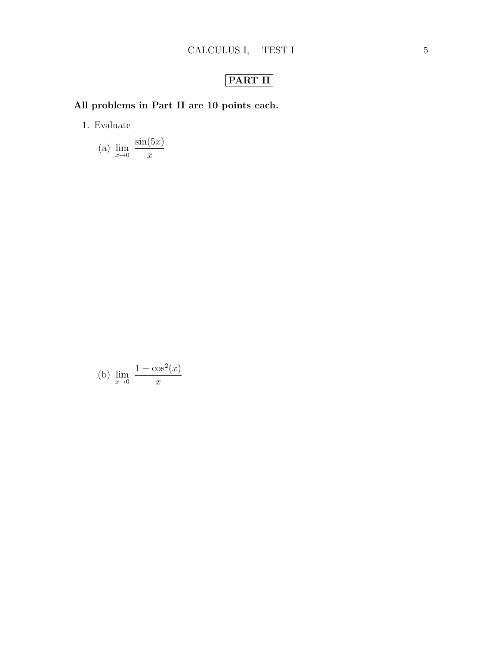# PART II

## All problems in Part II are 10 points each.

1. Evaluate

(a) 
$$
\lim_{x \to 0} \frac{\sin(5x)}{x}
$$

(b) 
$$
\lim_{x \to 0} \frac{1 - \cos^2(x)}{x}
$$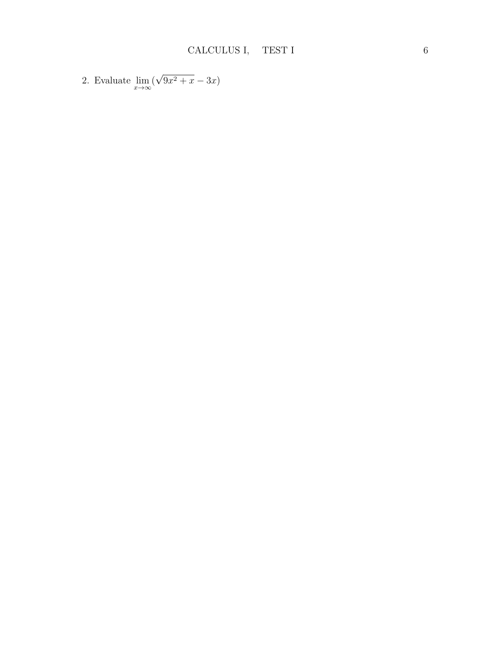2. Evaluate  $\lim_{x\to\infty}$ √  $9x^2 + x - 3x$